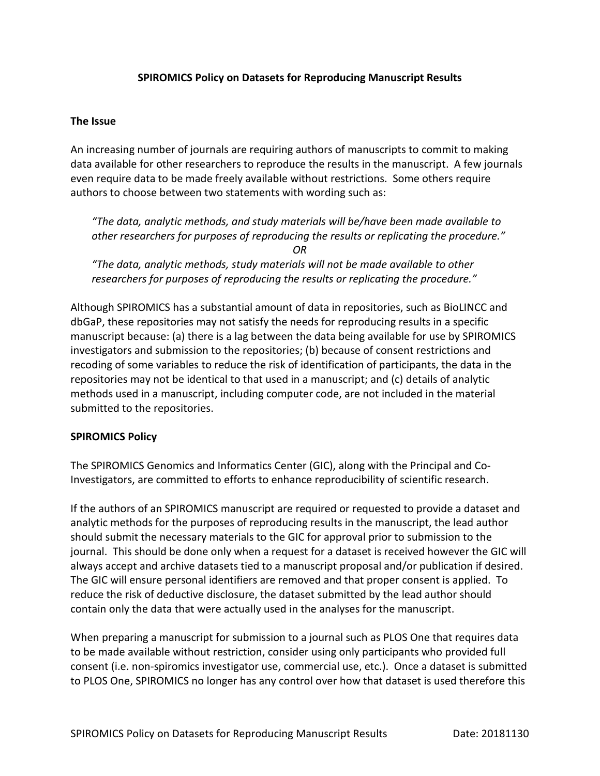## **SPIROMICS Policy on Datasets for Reproducing Manuscript Results**

## **The Issue**

An increasing number of journals are requiring authors of manuscripts to commit to making data available for other researchers to reproduce the results in the manuscript. A few journals even require data to be made freely available without restrictions. Some others require authors to choose between two statements with wording such as:

*"The data, analytic methods, and study materials will be/have been made available to other researchers for purposes of reproducing the results or replicating the procedure." OR*

*"The data, analytic methods, study materials will not be made available to other researchers for purposes of reproducing the results or replicating the procedure."*

Although SPIROMICS has a substantial amount of data in repositories, such as BioLINCC and dbGaP, these repositories may not satisfy the needs for reproducing results in a specific manuscript because: (a) there is a lag between the data being available for use by SPIROMICS investigators and submission to the repositories; (b) because of consent restrictions and recoding of some variables to reduce the risk of identification of participants, the data in the repositories may not be identical to that used in a manuscript; and (c) details of analytic methods used in a manuscript, including computer code, are not included in the material submitted to the repositories.

## **SPIROMICS Policy**

The SPIROMICS Genomics and Informatics Center (GIC), along with the Principal and Co-Investigators, are committed to efforts to enhance reproducibility of scientific research.

If the authors of an SPIROMICS manuscript are required or requested to provide a dataset and analytic methods for the purposes of reproducing results in the manuscript, the lead author should submit the necessary materials to the GIC for approval prior to submission to the journal. This should be done only when a request for a dataset is received however the GIC will always accept and archive datasets tied to a manuscript proposal and/or publication if desired. The GIC will ensure personal identifiers are removed and that proper consent is applied. To reduce the risk of deductive disclosure, the dataset submitted by the lead author should contain only the data that were actually used in the analyses for the manuscript.

When preparing a manuscript for submission to a journal such as PLOS One that requires data to be made available without restriction, consider using only participants who provided full consent (i.e. non-spiromics investigator use, commercial use, etc.). Once a dataset is submitted to PLOS One, SPIROMICS no longer has any control over how that dataset is used therefore this